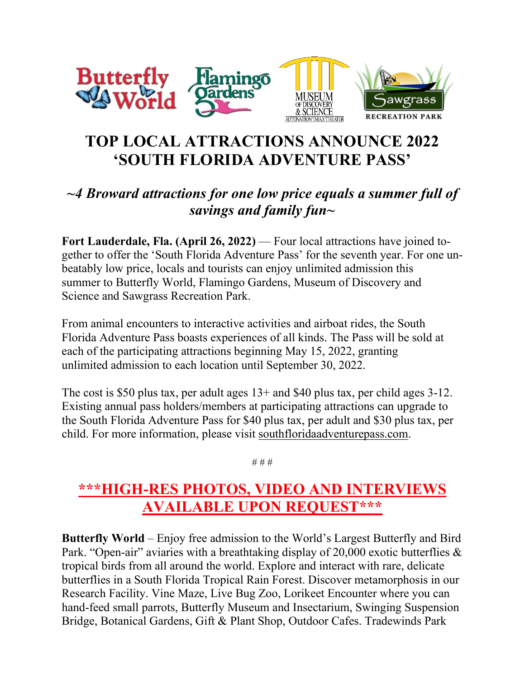

## **TOP LOCAL ATTRACTIONS ANNOUNCE 2022 'SOUTH FLORIDA ADVENTURE PASS'**

## *~4 Broward attractions for one low price equals a summer full of savings and family fun~*

**Fort Lauderdale, Fla. (April 26, 2022)** — Four local attractions have joined together to offer the 'South Florida Adventure Pass' for the seventh year. For one unbeatably low price, locals and tourists can enjoy unlimited admission this summer to Butterfly World, Flamingo Gardens, Museum of Discovery and Science and Sawgrass Recreation Park.

From animal encounters to interactive activities and airboat rides, the South Florida Adventure Pass boasts experiences of all kinds. The Pass will be sold at each of the participating attractions beginning May 15, 2022, granting unlimited admission to each location until September 30, 2022.

The cost is \$50 plus tax, per adult ages 13+ and \$40 plus tax, per child ages 3-12. Existing annual pass holders/members at participating attractions can upgrade to the South Florida Adventure Pass for \$40 plus tax, per adult and \$30 plus tax, per child. For more information, please visit [southfloridaadventurepass.com.](http://southfloridaadventurepass.com/)

# # #

## **\*\*\*HIGH-RES PHOTOS, VIDEO AND INTERVIEWS AVAILABLE UPON REQUEST\*\*\***

**Butterfly World** – Enjoy free admission to the World's Largest Butterfly and Bird Park. "Open-air" aviaries with a breathtaking display of 20,000 exotic butterflies & tropical birds from all around the world. Explore and interact with rare, delicate butterflies in a South Florida Tropical Rain Forest. Discover metamorphosis in our Research Facility. Vine Maze, Live Bug Zoo, Lorikeet Encounter where you can hand-feed small parrots, Butterfly Museum and Insectarium, Swinging Suspension Bridge, Botanical Gardens, Gift & Plant Shop, Outdoor Cafes. Tradewinds Park